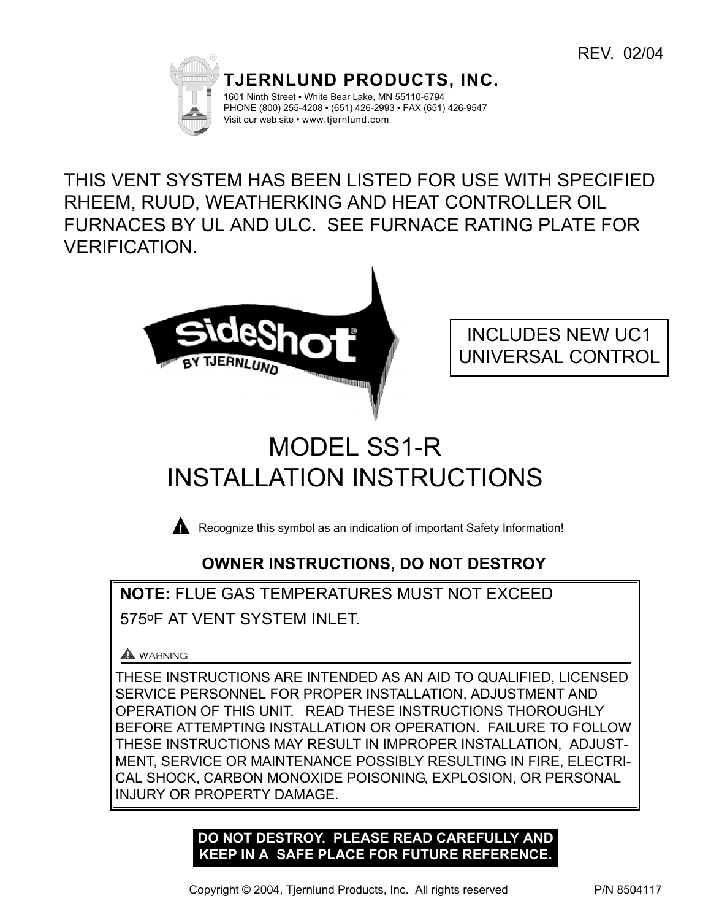

THIS VENT SYSTEM HAS BEEN LISTED FOR USE WITH SPECIFIED RHEEM, RUUD, WEATHERKING AND HEAT CONTROLLER OIL FURNACES BY UL AND ULC. SEE FURNACE RATING PLATE FOR VERIFICATION.



INCLUDES NEW UC1 UNIVERSAL CONTROL

# MODEL SS1-R INSTALLATION INSTRUCTIONS

**Recognize this symbol as an indication of important Safety Information!** 

# **OWNER INSTRUCTIONS, DO NOT DESTROY**

**NOTE:** FLUE GAS TEMPERATURES MUST NOT EXCEED 575oF AT VENT SYSTEM INLET.

# A WARNING

THESE INSTRUCTIONS ARE INTENDED AS AN AID TO QUALIFIED, LICENSED SERVICE PERSONNEL FOR PROPER INSTALLATION, ADJUSTMENT AND OPERATION OF THIS UNIT. READ THESE INSTRUCTIONS THOROUGHLY BEFORE ATTEMPTING INSTALLATION OR OPERATION. FAILURE TO FOLLOW THESE INSTRUCTIONS MAY RESULT IN IMPROPER INSTALLATION, ADJUST-MENT, SERVICE OR MAINTENANCE POSSIBLY RESULTING IN FIRE, ELECTRI-CAL SHOCK, CARBON MONOXIDE POISONING, EXPLOSION, OR PERSONAL INJURY OR PROPERTY DAMAGE.

# **DO NOT DESTROY. PLEASE READ CAREFULLY AND KEEP IN A SAFE PLACE FOR FUTURE REFERENCE.**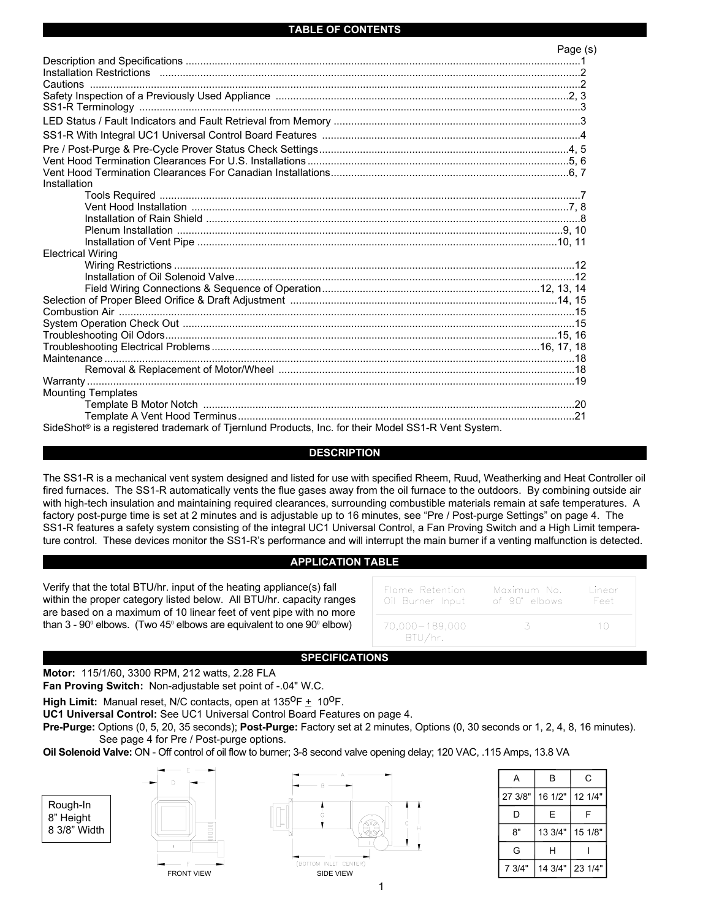# **TABLE OF CONTENTS**

|                                                                                                                | Page (s) |
|----------------------------------------------------------------------------------------------------------------|----------|
|                                                                                                                |          |
|                                                                                                                |          |
|                                                                                                                |          |
|                                                                                                                |          |
|                                                                                                                |          |
|                                                                                                                |          |
|                                                                                                                |          |
|                                                                                                                |          |
|                                                                                                                |          |
|                                                                                                                |          |
| Installation                                                                                                   |          |
|                                                                                                                |          |
|                                                                                                                |          |
|                                                                                                                |          |
|                                                                                                                |          |
|                                                                                                                |          |
| <b>Electrical Wiring</b>                                                                                       |          |
|                                                                                                                |          |
|                                                                                                                |          |
|                                                                                                                |          |
|                                                                                                                |          |
|                                                                                                                |          |
|                                                                                                                |          |
|                                                                                                                |          |
|                                                                                                                |          |
|                                                                                                                |          |
|                                                                                                                |          |
|                                                                                                                |          |
| <b>Mounting Templates</b>                                                                                      |          |
|                                                                                                                |          |
|                                                                                                                |          |
| SideShot <sup>®</sup> is a registered trademark of Tjernlund Products, Inc. for their Model SS1-R Vent System. |          |

# **DESCRIPTION**

The SS1-R is a mechanical vent system designed and listed for use with specified Rheem, Ruud, Weatherking and Heat Controller oil fired furnaces. The SS1-R automatically vents the flue gases away from the oil furnace to the outdoors. By combining outside air with high-tech insulation and maintaining required clearances, surrounding combustible materials remain at safe temperatures. A factory post-purge time is set at 2 minutes and is adjustable up to 16 minutes, see "Pre / Post-purge Settings" on page 4. The SS1-R features a safety system consisting of the integral UC1 Universal Control, a Fan Proving Switch and a High Limit temperature control. These devices monitor the SS1-R's performance and will interrupt the main burner if a venting malfunction is detected.

# **APPLICATION TABLE**

Verify that the total BTU/hr. input of the heating appliance(s) fall within the proper category listed below. All BTU/hr. capacity ranges are based on a maximum of 10 linear feet of vent pipe with no more than  $3 - 90^\circ$  elbows. (Two  $45^\circ$  elbows are equivalent to one  $90^\circ$  elbow)

| Flame Retention             | Maximum No.   | Linear |
|-----------------------------|---------------|--------|
| Oil Burner Input            | of 90° elbows | Feet   |
| 70,000 - 189,000<br>BTU/hr. |               | 10     |

# **SPECIFICATIONS**

**Motor:** 115/1/60, 3300 RPM, 212 watts, 2.28 FLA

**Fan Proving Switch:** Non-adjustable set point of -.04" W.C.

**High Limit:** Manual reset, N/C contacts, open at  $135^{\circ}F + 10^{\circ}F$ .

**UC1 Universal Control:** See UC1 Universal Control Board Features on page 4.

**Pre-Purge:** Options (0, 5, 20, 35 seconds); **Post-Purge:** Factory set at 2 minutes, Options (0, 30 seconds or 1, 2, 4, 8, 16 minutes). See page 4 for Pre / Post-purge options.

**Oil Solenoid Valve:** ON - Off control of oil flow to burner; 3-8 second valve opening delay; 120 VAC, .115 Amps, 13.8 VA



| А       | В       | С       |
|---------|---------|---------|
| 27 3/8" | 16 1/2" | 12 1/4" |
| D       | E       | F       |
| 8"      | 13 3/4" | 15 1/8" |
| G       | н       |         |
| 7 3/4"  | 14 3/4" | 23 1/4" |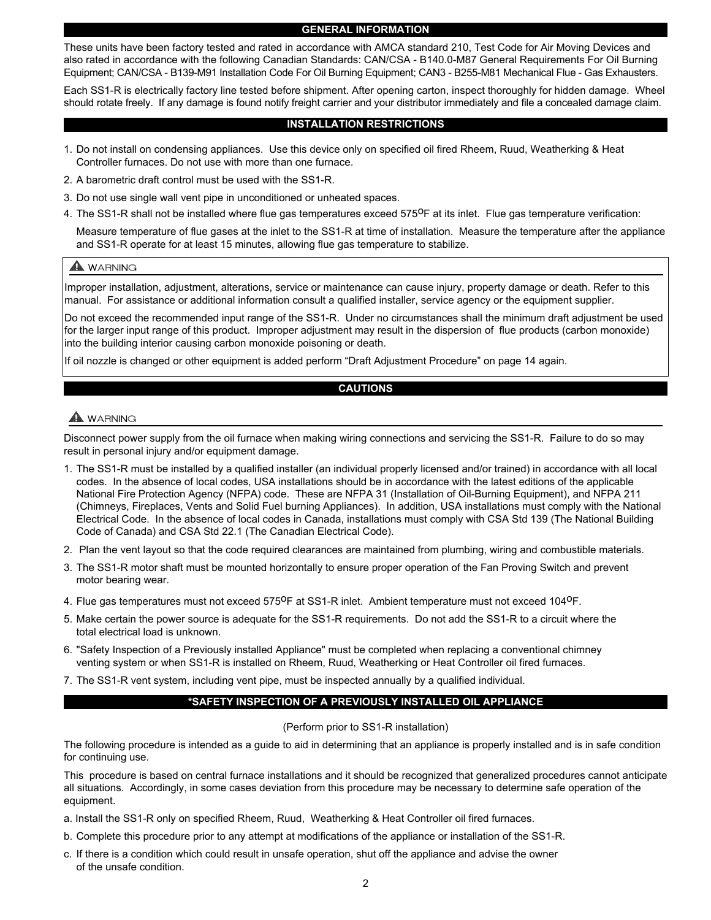### **GENERAL INFORMATION**

These units have been factory tested and rated in accordance with AMCA standard 210, Test Code for Air Moving Devices and also rated in accordance with the following Canadian Standards: CAN/CSA - B140.0-M87 General Requirements For Oil Burning Equipment; CAN/CSA - B139-M91 Installation Code For Oil Burning Equipment; CAN3 - B255-M81 Mechanical Flue - Gas Exhausters.

Each SS1-R is electrically factory line tested before shipment. After opening carton, inspect thoroughly for hidden damage. Wheel should rotate freely. If any damage is found notify freight carrier and your distributor immediately and file a concealed damage claim.

# **INSTALLATION RESTRICTIONS**

- 1. Do not install on condensing appliances. Use this device only on specified oil fired Rheem, Ruud, Weatherking & Heat Controller furnaces. Do not use with more than one furnace.
- 2. A barometric draft control must be used with the SS1-R.
- 3. Do not use single wall vent pipe in unconditioned or unheated spaces.
- 4. The SS1-R shall not be installed where flue gas temperatures exceed 575<sup>0</sup>F at its inlet. Flue gas temperature verification:

Measure temperature of flue gases at the inlet to the SS1-R at time of installation. Measure the temperature after the appliance and SS1-R operate for at least 15 minutes, allowing flue gas temperature to stabilize.

# A WARNING

Improper installation, adjustment, alterations, service or maintenance can cause injury, property damage or death. Refer to this manual. For assistance or additional information consult a qualified installer, service agency or the equipment supplier.

Do not exceed the recommended input range of the SS1-R. Under no circumstances shall the minimum draft adjustment be used for the larger input range of this product. Improper adjustment may result in the dispersion of flue products (carbon monoxide) into the building interior causing carbon monoxide poisoning or death.

If oil nozzle is changed or other equipment is added perform "Draft Adjustment Procedure" on page 14 again.

# **CAUTIONS**

# **WARNING**

Disconnect power supply from the oil furnace when making wiring connections and servicing the SS1-R. Failure to do so may result in personal injury and/or equipment damage.

- 1. The SS1-R must be installed by a qualified installer (an individual properly licensed and/or trained) in accordance with all local codes. In the absence of local codes, USA installations should be in accordance with the latest editions of the applicable National Fire Protection Agency (NFPA) code. These are NFPA 31 (Installation of Oil-Burning Equipment), and NFPA 211 (Chimneys, Fireplaces, Vents and Solid Fuel burning Appliances). In addition, USA installations must comply with the National Electrical Code. In the absence of local codes in Canada, installations must comply with CSA Std 139 (The National Building Code of Canada) and CSA Std 22.1 (The Canadian Electrical Code).
- 2. Plan the vent layout so that the code required clearances are maintained from plumbing, wiring and combustible materials.
- 3. The SS1-R motor shaft must be mounted horizontally to ensure proper operation of the Fan Proving Switch and prevent motor bearing wear.
- 4. Flue gas temperatures must not exceed 575<sup>0</sup>F at SS1-R inlet. Ambient temperature must not exceed 104<sup>0</sup>F.
- 5. Make certain the power source is adequate for the SS1-R requirements. Do not add the SS1-R to a circuit where the total electrical load is unknown.
- 6. "Safety Inspection of a Previously installed Appliance" must be completed when replacing a conventional chimney venting system or when SS1-R is installed on Rheem, Ruud, Weatherking or Heat Controller oil fired furnaces.
- 7. The SS1-R vent system, including vent pipe, must be inspected annually by a qualified individual.

# **\*SAFETY INSPECTION OF A PREVIOUSLY INSTALLED OIL APPLIANCE**

# (Perform prior to SS1-R installation)

The following procedure is intended as a guide to aid in determining that an appliance is properly installed and is in safe condition for continuing use.

This procedure is based on central furnace installations and it should be recognized that generalized procedures cannot anticipate all situations. Accordingly, in some cases deviation from this procedure may be necessary to determine safe operation of the equipment.

- a. Install the SS1-R only on specified Rheem, Ruud, Weatherking & Heat Controller oil fired furnaces.
- b. Complete this procedure prior to any attempt at modifications of the appliance or installation of the SS1-R.
- c. If there is a condition which could result in unsafe operation, shut off the appliance and advise the owner of the unsafe condition.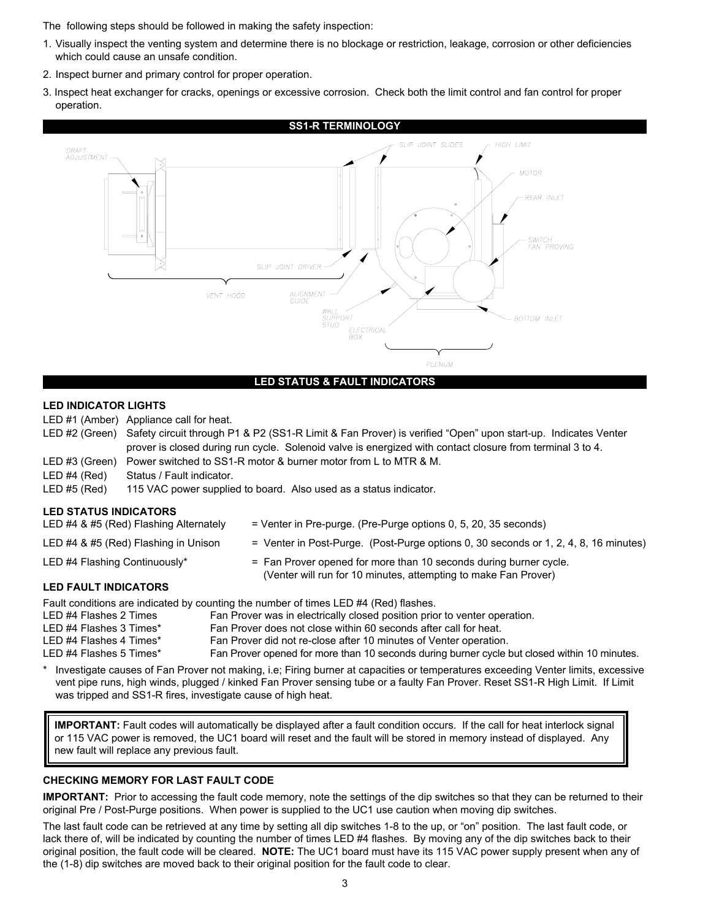The following steps should be followed in making the safety inspection:

- 1. Visually inspect the venting system and determine there is no blockage or restriction, leakage, corrosion or other deficiencies which could cause an unsafe condition.
- 2. Inspect burner and primary control for proper operation.
- 3. Inspect heat exchanger for cracks, openings or excessive corrosion. Check both the limit control and fan control for proper operation.



# **LED STATUS & FAULT INDICATORS**

# **LED INDICATOR LIGHTS**

LED #1 (Amber) Appliance call for heat.

- LED #2 (Green) Safety circuit through P1 & P2 (SS1-R Limit & Fan Prover) is verified "Open" upon start-up. Indicates Venter prover is closed during run cycle. Solenoid valve is energized with contact closure from terminal 3 to 4. LED #3 (Green) Power switched to SS1-R motor & burner motor from L to MTR & M. LED #4 (Red) Status / Fault indicator. LED #5 (Red) 115 VAC power supplied to board. Also used as a status indicator. **LED STATUS INDICATORS** LED #4 & #5 (Red) Flashing Alternately = Venter in Pre-purge. (Pre-Purge options 0, 5, 20, 35 seconds)
- LED #4 & #5 (Red) Flashing in Unison = Venter in Post-Purge. (Post-Purge options 0, 30 seconds or 1, 2, 4, 8, 16 minutes) LED #4 Flashing Continuously\* = Fan Prover opened for more than 10 seconds during burner cycle. (Venter will run for 10 minutes, attempting to make Fan Prover)

# **LED FAULT INDICATORS**

Fault conditions are indicated by counting the number of times LED #4 (Red) flashes.

| LED #4 Flashes 2 Times  | Fan Prover was in electrically closed position prior to venter operation.                    |
|-------------------------|----------------------------------------------------------------------------------------------|
| LED #4 Flashes 3 Times* | Fan Prover does not close within 60 seconds after call for heat.                             |
| LED #4 Flashes 4 Times* | Fan Prover did not re-close after 10 minutes of Venter operation.                            |
| LED #4 Flashes 5 Times* | Fan Prover opened for more than 10 seconds during burner cycle but closed within 10 minutes. |

Investigate causes of Fan Prover not making, i.e; Firing burner at capacities or temperatures exceeding Venter limits, excessive vent pipe runs, high winds, plugged / kinked Fan Prover sensing tube or a faulty Fan Prover. Reset SS1-R High Limit. If Limit was tripped and SS1-R fires, investigate cause of high heat.

new fault will replace any previous fault. **IMPORTANT:** Fault codes will automatically be displayed after a fault condition occurs. If the call for heat interlock signal or 115 VAC power is removed, the UC1 board will reset and the fault will be stored in memory instead of displayed. Any

# **CHECKING MEMORY FOR LAST FAULT CODE**

**IMPORTANT:** Prior to accessing the fault code memory, note the settings of the dip switches so that they can be returned to their original Pre / Post-Purge positions. When power is supplied to the UC1 use caution when moving dip switches.

The last fault code can be retrieved at any time by setting all dip switches 1-8 to the up, or "on" position. The last fault code, or lack there of, will be indicated by counting the number of times LED #4 flashes. By moving any of the dip switches back to their original position, the fault code will be cleared. **NOTE:** The UC1 board must have its 115 VAC power supply present when any of the (1-8) dip switches are moved back to their original position for the fault code to clear.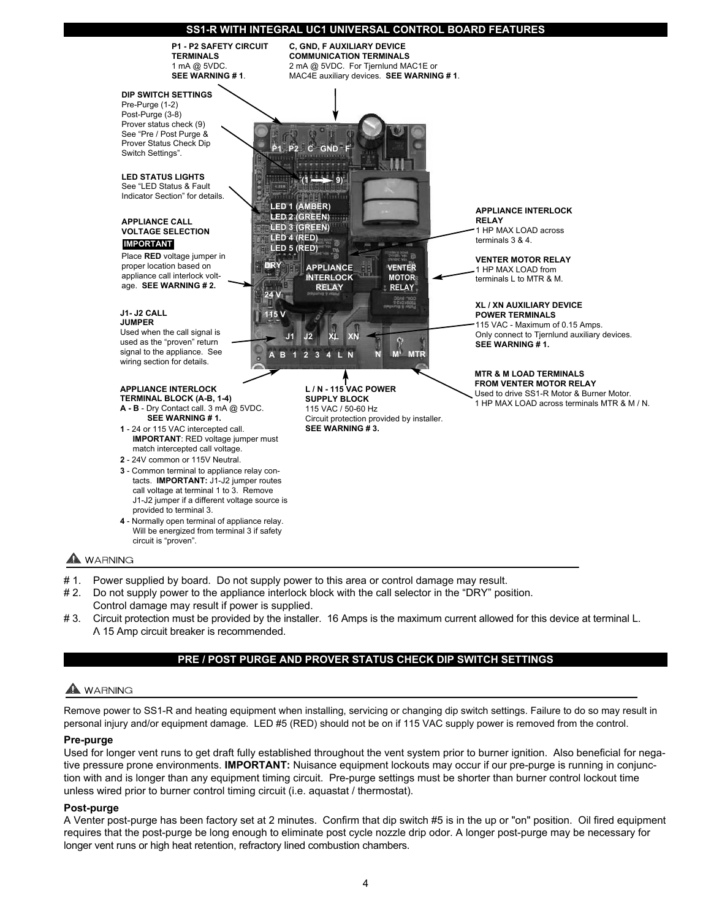# **SS1-R WITH INTEGRAL UC1 UNIVERSAL CONTROL BOARD FEATURES**



- # 1. Power supplied by board. Do not supply power to this area or control damage may result.
- # 2. Do not supply power to the appliance interlock block with the call selector in the "DRY" position. Control damage may result if power is supplied.
- # 3. Circuit protection must be provided by the installer. 16 Amps is the maximum current allowed for this device at terminal L. A 15 Amp circuit breaker is recommended.

# **PRE / POST PURGE AND PROVER STATUS CHECK DIP SWITCH SETTINGS**

# **WARNING**

Remove power to SS1-R and heating equipment when installing, servicing or changing dip switch settings. Failure to do so may result in personal injury and/or equipment damage. LED #5 (RED) should not be on if 115 VAC supply power is removed from the control.

# **Pre-purge**

Used for longer vent runs to get draft fully established throughout the vent system prior to burner ignition. Also beneficial for negative pressure prone environments. **IMPORTANT:** Nuisance equipment lockouts may occur if our pre-purge is running in conjunction with and is longer than any equipment timing circuit. Pre-purge settings must be shorter than burner control lockout time unless wired prior to burner control timing circuit (i.e. aquastat / thermostat).

#### **Post-purge**

A Venter post-purge has been factory set at 2 minutes. Confirm that dip switch #5 is in the up or "on" position. Oil fired equipment requires that the post-purge be long enough to eliminate post cycle nozzle drip odor. A longer post-purge may be necessary for longer vent runs or high heat retention, refractory lined combustion chambers.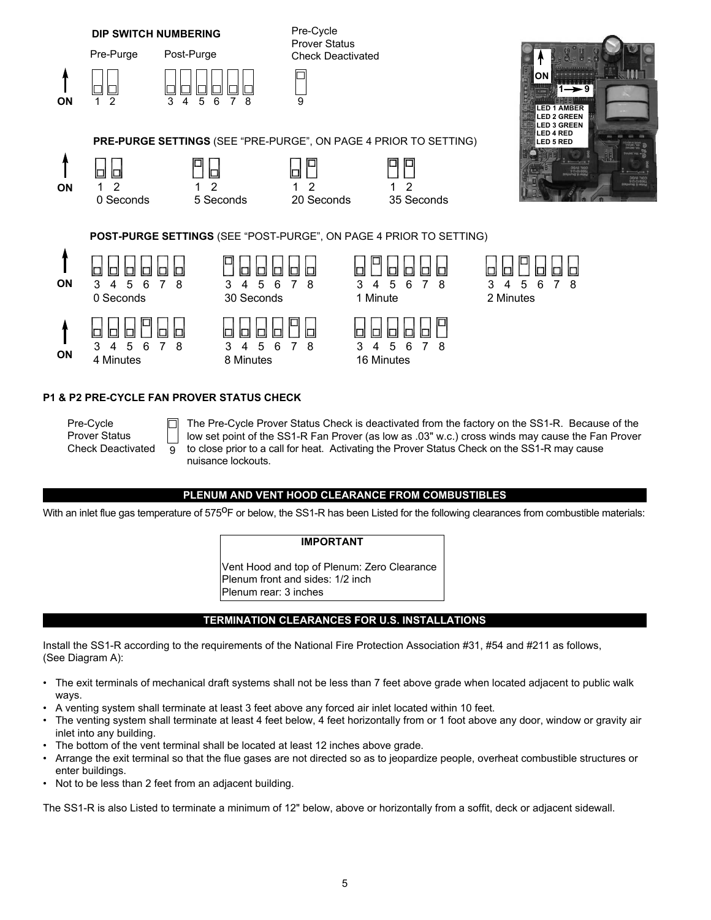

# **P1 & P2 PRE-CYCLE FAN PROVER STATUS CHECK**

Pre-Cycle Prover Status Check Deactivated  $\overline{9}$ 

The Pre-Cycle Prover Status Check is deactivated from the factory on the SS1-R. Because of the low set point of the SS1-R Fan Prover (as low as .03" w.c.) cross winds may cause the Fan Prover to close prior to a call for heat. Activating the Prover Status Check on the SS1-R may cause nuisance lockouts.

# **PLENUM AND VENT HOOD CLEARANCE FROM COMBUSTIBLES**

With an inlet flue gas temperature of 575<sup>O</sup>F or below, the SS1-R has been Listed for the following clearances from combustible materials:

# **IMPORTANT**

Vent Hood and top of Plenum: Zero Clearance Plenum front and sides: 1/2 inch Plenum rear: 3 inches

# **TERMINATION CLEARANCES FOR U.S. INSTALLATIONS**

Install the SS1-R according to the requirements of the National Fire Protection Association #31, #54 and #211 as follows, (See Diagram A):

- The exit terminals of mechanical draft systems shall not be less than 7 feet above grade when located adjacent to public walk ways.
- A venting system shall terminate at least 3 feet above any forced air inlet located within 10 feet.
- The venting system shall terminate at least 4 feet below, 4 feet horizontally from or 1 foot above any door, window or gravity air inlet into any building.
- The bottom of the vent terminal shall be located at least 12 inches above grade.
- Arrange the exit terminal so that the flue gases are not directed so as to jeopardize people, overheat combustible structures or enter buildings.
- Not to be less than 2 feet from an adjacent building.

The SS1-R is also Listed to terminate a minimum of 12" below, above or horizontally from a soffit, deck or adjacent sidewall.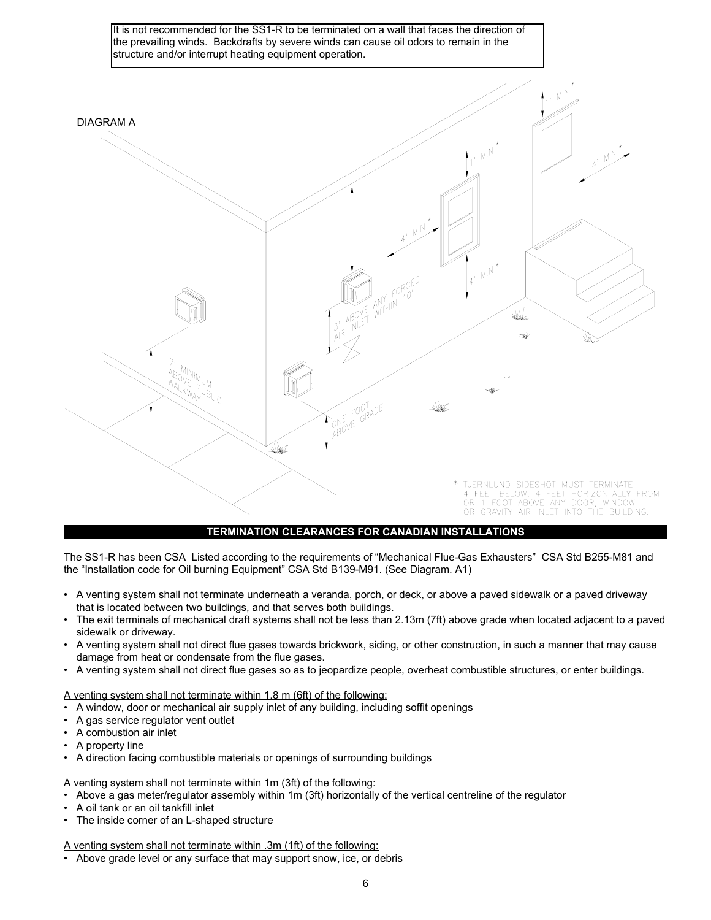

# **TERMINATION CLEARANCES FOR CANADIAN INSTALLATIONS**

The SS1-R has been CSA Listed according to the requirements of "Mechanical Flue-Gas Exhausters" CSA Std B255-M81 and the "Installation code for Oil burning Equipment" CSA Std B139-M91. (See Diagram. A1)

- A venting system shall not terminate underneath a veranda, porch, or deck, or above a paved sidewalk or a paved driveway that is located between two buildings, and that serves both buildings.
- The exit terminals of mechanical draft systems shall not be less than 2.13m (7ft) above grade when located adjacent to a paved sidewalk or driveway.
- A venting system shall not direct flue gases towards brickwork, siding, or other construction, in such a manner that may cause damage from heat or condensate from the flue gases.
- A venting system shall not direct flue gases so as to jeopardize people, overheat combustible structures, or enter buildings.

A venting system shall not terminate within 1.8 m (6ft) of the following:

- A window, door or mechanical air supply inlet of any building, including soffit openings
- A gas service regulator vent outlet
- A combustion air inlet
- A property line
- A direction facing combustible materials or openings of surrounding buildings

A venting system shall not terminate within 1m (3ft) of the following:

- Above a gas meter/regulator assembly within 1m (3ft) horizontally of the vertical centreline of the regulator
- A oil tank or an oil tankfill inlet
- The inside corner of an L-shaped structure

A venting system shall not terminate within .3m (1ft) of the following:

• Above grade level or any surface that may support snow, ice, or debris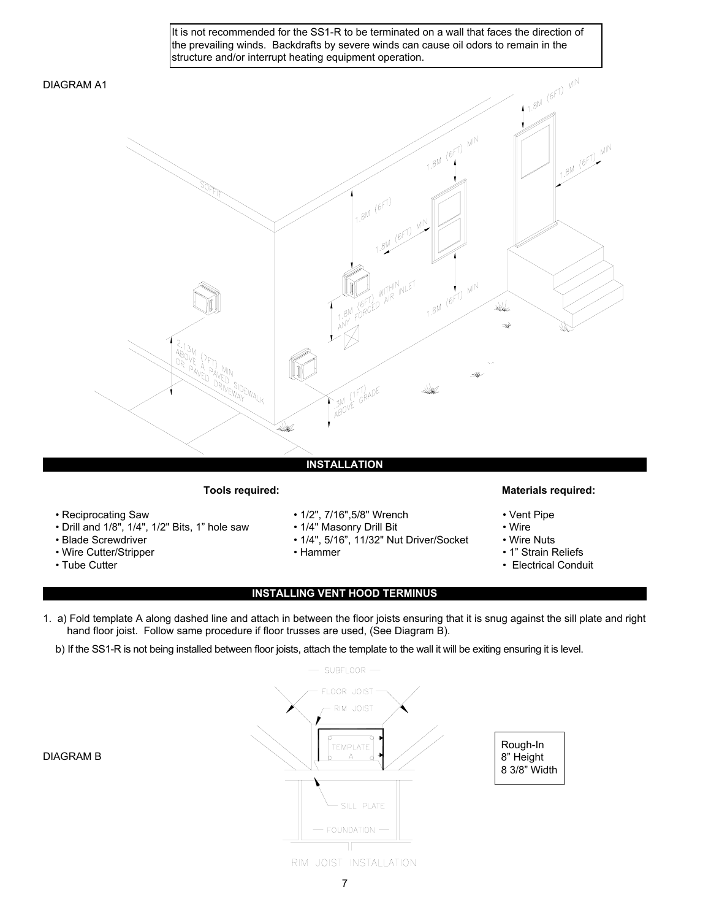It is not recommended for the SS1-R to be terminated on a wall that faces the direction of the prevailing winds. Backdrafts by severe winds can cause oil odors to remain in the structure and/or interrupt heating equipment operation.

# DIAGRAM A1



- 
- Drill and 1/8", 1/4", 1/2" Bits, 1" hole saw 1/4" Masonry Drill Bit Wire
- 
- Wire Cutter/Stripper Hammer 1" Strain Reliefs
- 
- Reciprocating Saw 1/2", 7/16",5/8" Wrench Vent Pipe
	-
- Blade Screwdriver 1/4", 5/16", 11/32" Nut Driver/Socket Wire Nuts
	-

# **Tools required: Materials required:**

- 
- 
- 
- 
- Tube Cutter Clearly Conduit  **Electrical Conduit** Electrical Conduit

# **INSTALLING VENT HOOD TERMINUS**

- 1. a) Fold template A along dashed line and attach in between the floor joists ensuring that it is snug against the sill plate and right hand floor joist. Follow same procedure if floor trusses are used, (See Diagram B).
	- b) If the SS1-R is not being installed between floor joists, attach the template to the wall it will be exiting ensuring it is level.



# DIAGRAM B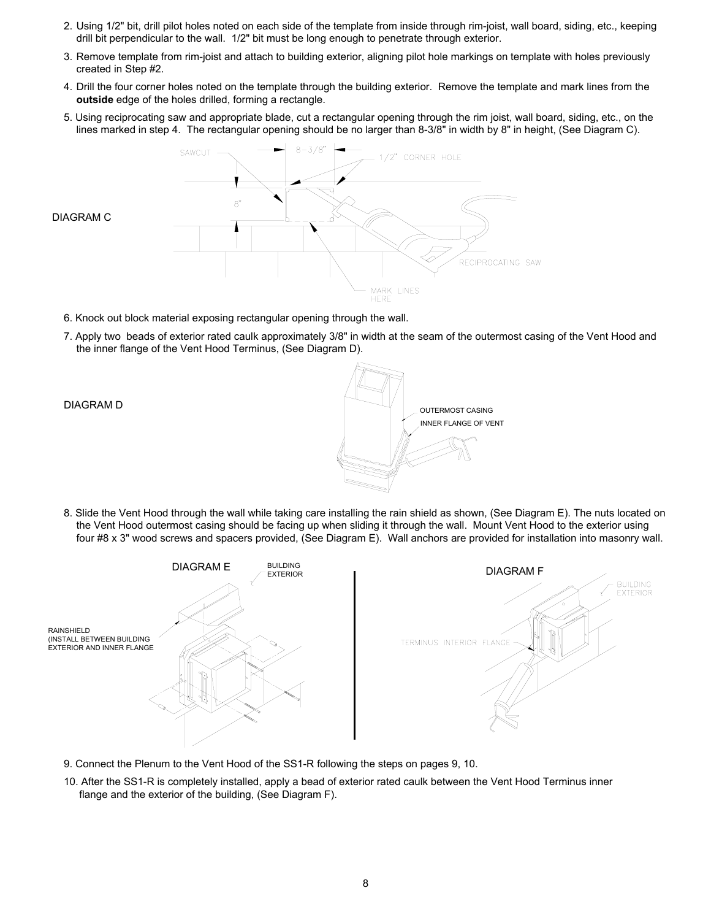- 2. Using 1/2" bit, drill pilot holes noted on each side of the template from inside through rim-joist, wall board, siding, etc., keeping drill bit perpendicular to the wall. 1/2" bit must be long enough to penetrate through exterior.
- 3. Remove template from rim-joist and attach to building exterior, aligning pilot hole markings on template with holes previously created in Step #2.
- 4. Drill the four corner holes noted on the template through the building exterior. Remove the template and mark lines from the **outside** edge of the holes drilled, forming a rectangle.
- 5. Using reciprocating saw and appropriate blade, cut a rectangular opening through the rim joist, wall board, siding, etc., on the lines marked in step 4. The rectangular opening should be no larger than 8-3/8" in width by 8" in height, (See Diagram C).



- 6. Knock out block material exposing rectangular opening through the wall.
- 7. Apply two beads of exterior rated caulk approximately 3/8" in width at the seam of the outermost casing of the Vent Hood and the inner flange of the Vent Hood Terminus, (See Diagram D).

DIAGRAM C



8. Slide the Vent Hood through the wall while taking care installing the rain shield as shown, (See Diagram E). The nuts located on the Vent Hood outermost casing should be facing up when sliding it through the wall. Mount Vent Hood to the exterior using four #8 x 3" wood screws and spacers provided, (See Diagram E). Wall anchors are provided for installation into masonry wall.



- 9. Connect the Plenum to the Vent Hood of the SS1-R following the steps on pages 9, 10.
- 10. After the SS1-R is completely installed, apply a bead of exterior rated caulk between the Vent Hood Terminus inner flange and the exterior of the building, (See Diagram F).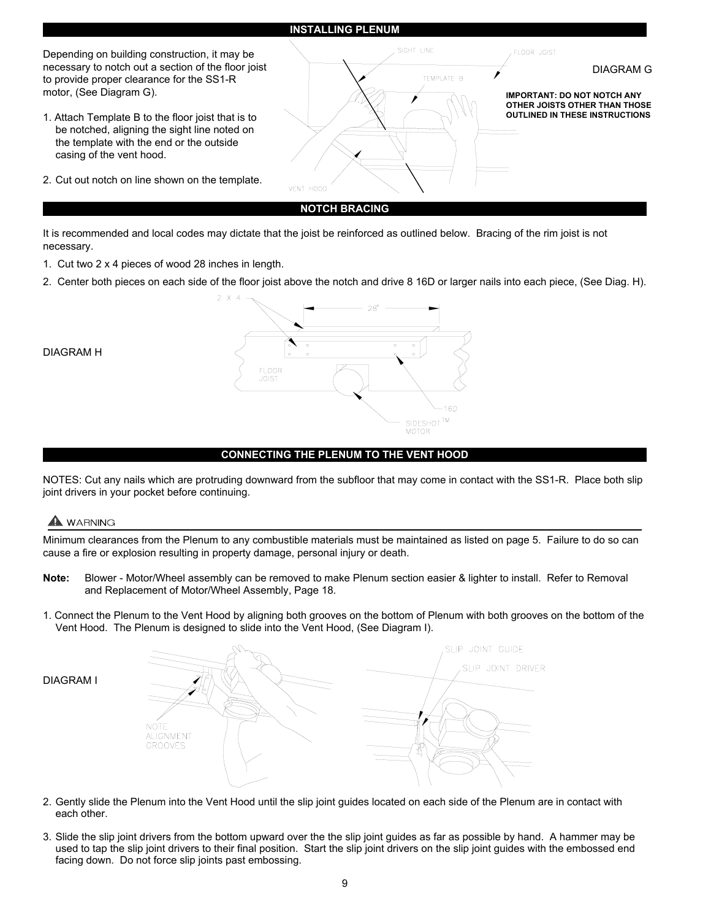

It is recommended and local codes may dictate that the joist be reinforced as outlined below. Bracing of the rim joist is not necessary.

- 1. Cut two 2 x 4 pieces of wood 28 inches in length.
- 2. Center both pieces on each side of the floor joist above the notch and drive 8 16D or larger nails into each piece, (See Diag. H).



# **CONNECTING THE PLENUM TO THE VENT HOOD**

NOTES: Cut any nails which are protruding downward from the subfloor that may come in contact with the SS1-R. Place both slip joint drivers in your pocket before continuing.

# **A** WARNING

DIAGRAM H

Minimum clearances from the Plenum to any combustible materials must be maintained as listed on page 5. Failure to do so can cause a fire or explosion resulting in property damage, personal injury or death.

- **Note:** Blower Motor/Wheel assembly can be removed to make Plenum section easier & lighter to install. Refer to Removal and Replacement of Motor/Wheel Assembly, Page 18.
- 1. Connect the Plenum to the Vent Hood by aligning both grooves on the bottom of Plenum with both grooves on the bottom of the Vent Hood. The Plenum is designed to slide into the Vent Hood, (See Diagram I).





- 2. Gently slide the Plenum into the Vent Hood until the slip joint guides located on each side of the Plenum are in contact with each other.
- 3. Slide the slip joint drivers from the bottom upward over the the slip joint guides as far as possible by hand. A hammer may be used to tap the slip joint drivers to their final position. Start the slip joint drivers on the slip joint guides with the embossed end facing down. Do not force slip joints past embossing.

9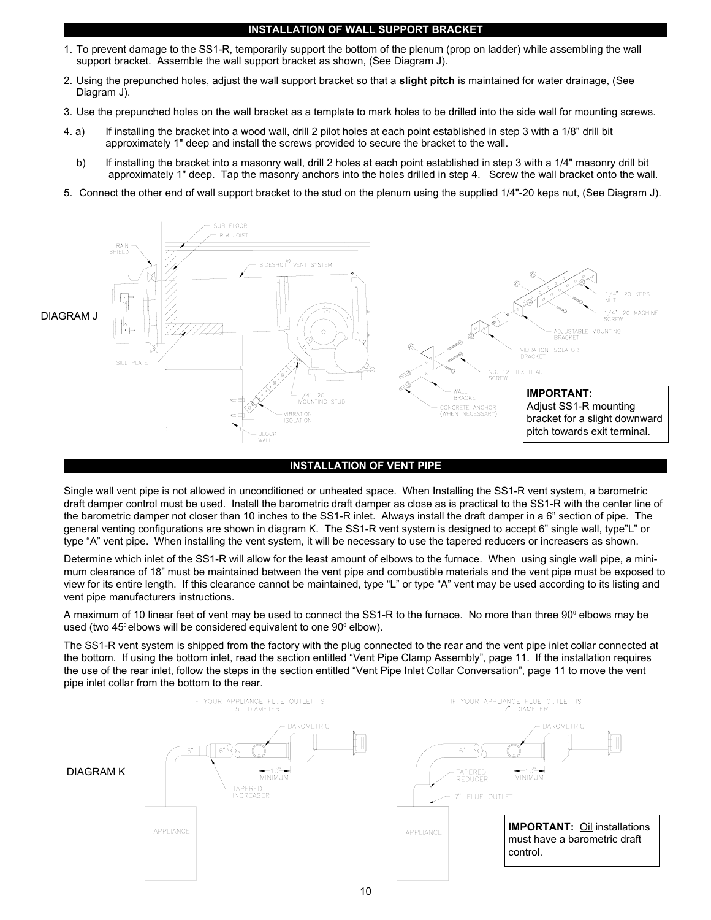# **INSTALLATION OF WALL SUPPORT BRACKET**

- 1. To prevent damage to the SS1-R, temporarily support the bottom of the plenum (prop on ladder) while assembling the wall support bracket. Assemble the wall support bracket as shown, (See Diagram J).
- 2. Using the prepunched holes, adjust the wall support bracket so that a **slight pitch** is maintained for water drainage, (See Diagram J).
- 3. Use the prepunched holes on the wall bracket as a template to mark holes to be drilled into the side wall for mounting screws.
- 4. a) If installing the bracket into a wood wall, drill 2 pilot holes at each point established in step 3 with a 1/8" drill bit approximately 1" deep and install the screws provided to secure the bracket to the wall.
	- b) If installing the bracket into a masonry wall, drill 2 holes at each point established in step 3 with a 1/4" masonry drill bit approximately 1" deep. Tap the masonry anchors into the holes drilled in step 4. Screw the wall bracket onto the wall.
- 5. Connect the other end of wall support bracket to the stud on the plenum using the supplied 1/4"-20 keps nut, (See Diagram J).



#### **INSTALLATION OF VENT PIPE**

Single wall vent pipe is not allowed in unconditioned or unheated space. When Installing the SS1-R vent system, a barometric draft damper control must be used. Install the barometric draft damper as close as is practical to the SS1-R with the center line of the barometric damper not closer than 10 inches to the SS1-R inlet. Always install the draft damper in a 6" section of pipe. The general venting configurations are shown in diagram K. The SS1-R vent system is designed to accept 6" single wall, type"L" or type "A" vent pipe. When installing the vent system, it will be necessary to use the tapered reducers or increasers as shown.

Determine which inlet of the SS1-R will allow for the least amount of elbows to the furnace. When using single wall pipe, a minimum clearance of 18" must be maintained between the vent pipe and combustible materials and the vent pipe must be exposed to view for its entire length. If this clearance cannot be maintained, type "L" or type "A" vent may be used according to its listing and vent pipe manufacturers instructions.

A maximum of 10 linear feet of vent may be used to connect the SS1-R to the furnace. No more than three 90° elbows may be used (two  $45^\circ$  elbows will be considered equivalent to one  $90^\circ$  elbow).

The SS1-R vent system is shipped from the factory with the plug connected to the rear and the vent pipe inlet collar connected at the bottom. If using the bottom inlet, read the section entitled "Vent Pipe Clamp Assembly", page 11. If the installation requires the use of the rear inlet, follow the steps in the section entitled "Vent Pipe Inlet Collar Conversation", page 11 to move the vent pipe inlet collar from the bottom to the rear.

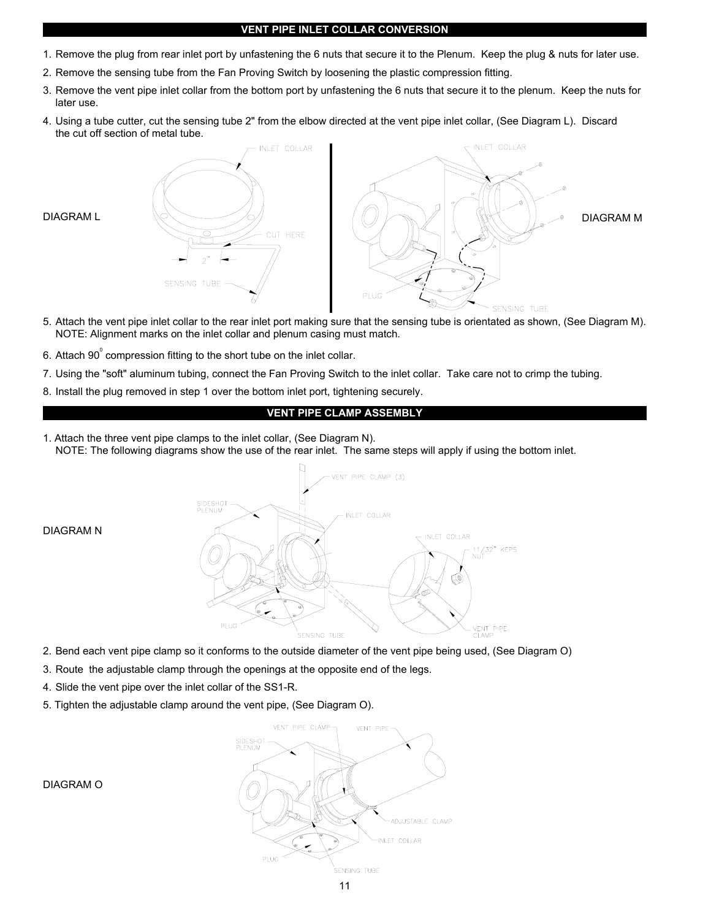# **VENT PIPE INLET COLLAR CONVERSION**

- 1. Remove the plug from rear inlet port by unfastening the 6 nuts that secure it to the Plenum. Keep the plug & nuts for later use.
- 2. Remove the sensing tube from the Fan Proving Switch by loosening the plastic compression fitting.
- 3. Remove the vent pipe inlet collar from the bottom port by unfastening the 6 nuts that secure it to the plenum. Keep the nuts for later use.
- 4. Using a tube cutter, cut the sensing tube 2" from the elbow directed at the vent pipe inlet collar, (See Diagram L). Discard the cut off section of metal tube.



- 5. Attach the vent pipe inlet collar to the rear inlet port making sure that the sensing tube is orientated as shown, (See Diagram M). NOTE: Alignment marks on the inlet collar and plenum casing must match.
- 6. Attach 90 $^{\circ}$  compression fitting to the short tube on the inlet collar.
- 7. Using the "soft" aluminum tubing, connect the Fan Proving Switch to the inlet collar. Take care not to crimp the tubing.
- 8. Install the plug removed in step 1 over the bottom inlet port, tightening securely.

### **VENT PIPE CLAMP ASSEMBLY**

1. Attach the three vent pipe clamps to the inlet collar, (See Diagram N). NOTE: The following diagrams show the use of the rear inlet. The same steps will apply if using the bottom inlet.



DIAGRAM N

- 2. Bend each vent pipe clamp so it conforms to the outside diameter of the vent pipe being used, (See Diagram O)
- 3. Route the adjustable clamp through the openings at the opposite end of the legs.
- 4. Slide the vent pipe over the inlet collar of the SS1-R.
- 5. Tighten the adjustable clamp around the vent pipe, (See Diagram O).



DIAGRAM O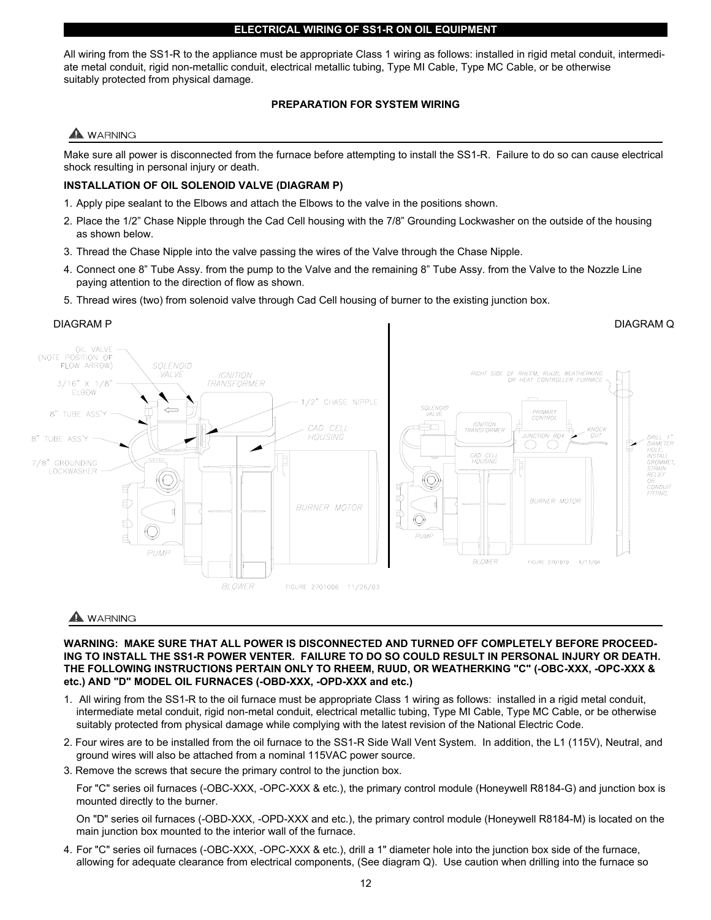All wiring from the SS1-R to the appliance must be appropriate Class 1 wiring as follows: installed in rigid metal conduit, intermediate metal conduit, rigid non-metallic conduit, electrical metallic tubing, Type MI Cable, Type MC Cable, or be otherwise suitably protected from physical damage.

# **PREPARATION FOR SYSTEM WIRING**

# **WARNING**

Make sure all power is disconnected from the furnace before attempting to install the SS1-R. Failure to do so can cause electrical shock resulting in personal injury or death.

# **INSTALLATION OF OIL SOLENOID VALVE (DIAGRAM P)**

- 1. Apply pipe sealant to the Elbows and attach the Elbows to the valve in the positions shown.
- 2. Place the 1/2" Chase Nipple through the Cad Cell housing with the 7/8" Grounding Lockwasher on the outside of the housing as shown below.
- 3. Thread the Chase Nipple into the valve passing the wires of the Valve through the Chase Nipple.
- 4. Connect one 8" Tube Assy. from the pump to the Valve and the remaining 8" Tube Assy. from the Valve to the Nozzle Line paying attention to the direction of flow as shown.
- 5. Thread wires (two) from solenoid valve through Cad Cell housing of burner to the existing junction box.

# DIAGRAM P DIAGRAM Q



# **WARNING**

**WARNING: MAKE SURE THAT ALL POWER IS DISCONNECTED AND TURNED OFF COMPLETELY BEFORE PROCEED-ING TO INSTALL THE SS1-R POWER VENTER. FAILURE TO DO SO COULD RESULT IN PERSONAL INJURY OR DEATH. THE FOLLOWING INSTRUCTIONS PERTAIN ONLY TO RHEEM, RUUD, OR WEATHERKING "C" (-OBC-XXX, -OPC-XXX & etc.) AND "D" MODEL OIL FURNACES (-OBD-XXX, -OPD-XXX and etc.)**

- 1. All wiring from the SS1-R to the oil furnace must be appropriate Class 1 wiring as follows: installed in a rigid metal conduit, intermediate metal conduit, rigid non-metal conduit, electrical metallic tubing, Type MI Cable, Type MC Cable, or be otherwise suitably protected from physical damage while complying with the latest revision of the National Electric Code.
- 2. Four wires are to be installed from the oil furnace to the SS1-R Side Wall Vent System. In addition, the L1 (115V), Neutral, and ground wires will also be attached from a nominal 115VAC power source.
- 3. Remove the screws that secure the primary control to the junction box.

For "C" series oil furnaces (-OBC-XXX, -OPC-XXX & etc.), the primary control module (Honeywell R8184-G) and junction box is mounted directly to the burner.

On "D" series oil furnaces (-OBD-XXX, -OPD-XXX and etc.), the primary control module (Honeywell R8184-M) is located on the main junction box mounted to the interior wall of the furnace.

4. For "C" series oil furnaces (-OBC-XXX, -OPC-XXX & etc.), drill a 1" diameter hole into the junction box side of the furnace, allowing for adequate clearance from electrical components, (See diagram Q). Use caution when drilling into the furnace so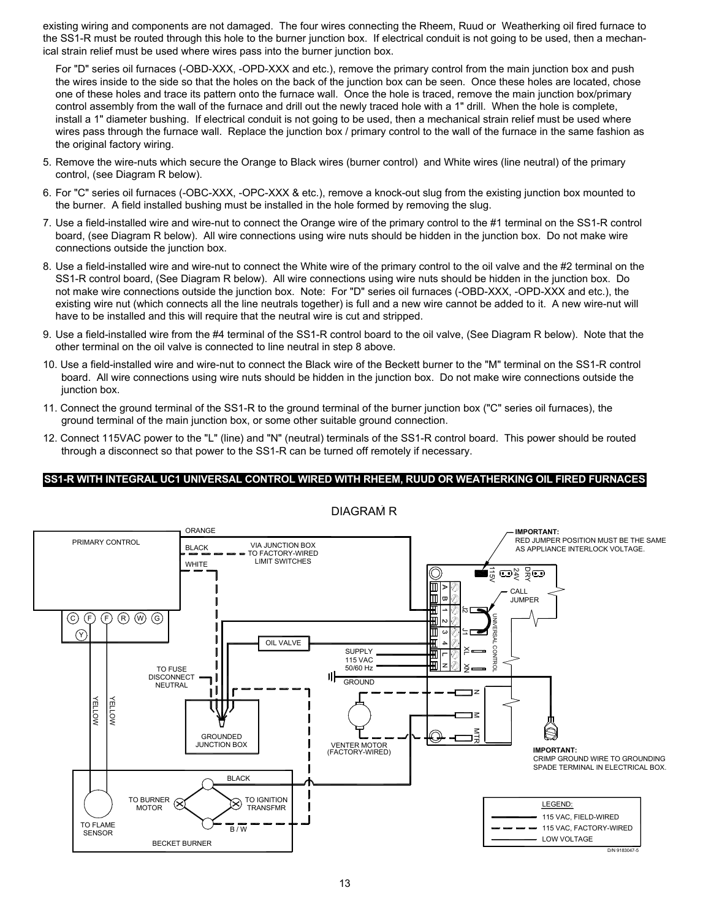existing wiring and components are not damaged. The four wires connecting the Rheem, Ruud or Weatherking oil fired furnace to the SS1-R must be routed through this hole to the burner junction box. If electrical conduit is not going to be used, then a mechanical strain relief must be used where wires pass into the burner junction box.

For "D" series oil furnaces (-OBD-XXX, -OPD-XXX and etc.), remove the primary control from the main junction box and push the wires inside to the side so that the holes on the back of the junction box can be seen. Once these holes are located, chose one of these holes and trace its pattern onto the furnace wall. Once the hole is traced, remove the main junction box/primary control assembly from the wall of the furnace and drill out the newly traced hole with a 1" drill. When the hole is complete, install a 1" diameter bushing. If electrical conduit is not going to be used, then a mechanical strain relief must be used where wires pass through the furnace wall. Replace the junction box / primary control to the wall of the furnace in the same fashion as the original factory wiring.

- 5. Remove the wire-nuts which secure the Orange to Black wires (burner control) and White wires (line neutral) of the primary control, (see Diagram R below).
- 6. For "C" series oil furnaces (-OBC-XXX, -OPC-XXX & etc.), remove a knock-out slug from the existing junction box mounted to the burner. A field installed bushing must be installed in the hole formed by removing the slug.
- 7. Use a field-installed wire and wire-nut to connect the Orange wire of the primary control to the #1 terminal on the SS1-R control board, (see Diagram R below). All wire connections using wire nuts should be hidden in the junction box. Do not make wire connections outside the junction box.
- 8. Use a field-installed wire and wire-nut to connect the White wire of the primary control to the oil valve and the #2 terminal on the SS1-R control board, (See Diagram R below). All wire connections using wire nuts should be hidden in the junction box. Do not make wire connections outside the junction box. Note: For "D" series oil furnaces (-OBD-XXX, -OPD-XXX and etc.), the existing wire nut (which connects all the line neutrals together) is full and a new wire cannot be added to it. A new wire-nut will have to be installed and this will require that the neutral wire is cut and stripped.
- 9. Use a field-installed wire from the #4 terminal of the SS1-R control board to the oil valve, (See Diagram R below). Note that the other terminal on the oil valve is connected to line neutral in step 8 above.
- 10. Use a field-installed wire and wire-nut to connect the Black wire of the Beckett burner to the "M" terminal on the SS1-R control board. All wire connections using wire nuts should be hidden in the junction box. Do not make wire connections outside the junction box.
- 11. Connect the ground terminal of the SS1-R to the ground terminal of the burner junction box ("C" series oil furnaces), the ground terminal of the main junction box, or some other suitable ground connection.
- 12. Connect 115VAC power to the "L" (line) and "N" (neutral) terminals of the SS1-R control board. This power should be routed through a disconnect so that power to the SS1-R can be turned off remotely if necessary.

# **SS1-R WITH INTEGRAL UC1 UNIVERSAL CONTROL WIRED WITH RHEEM, RUUD OR WEATHERKING OIL FIRED FURNACES**



DIAGRAM R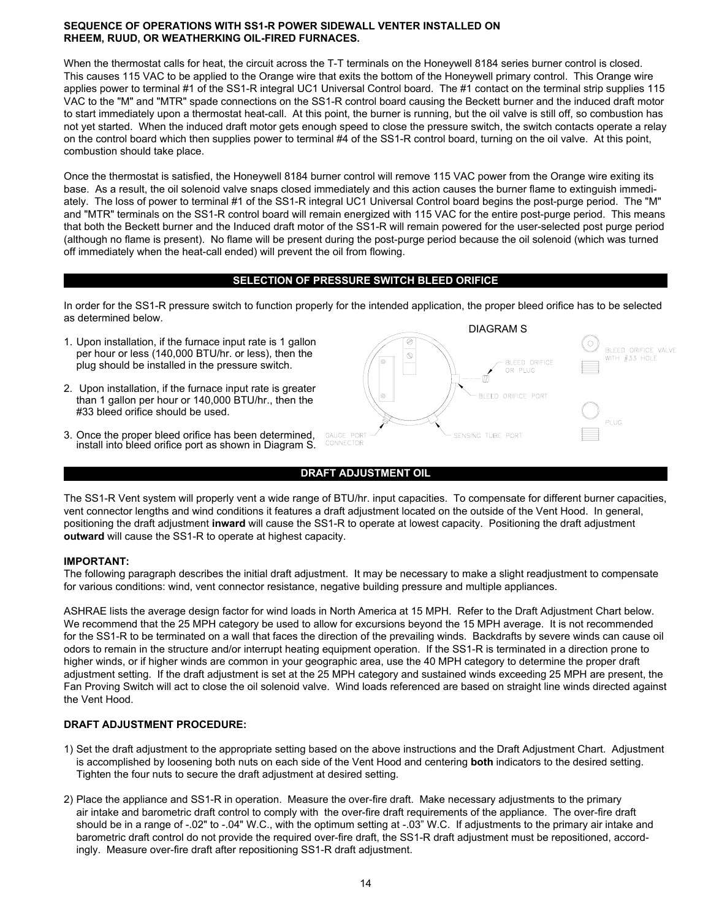# **SEQUENCE OF OPERATIONS WITH SS1-R POWER SIDEWALL VENTER INSTALLED ON RHEEM, RUUD, OR WEATHERKING OIL-FIRED FURNACES.**

When the thermostat calls for heat, the circuit across the T-T terminals on the Honeywell 8184 series burner control is closed. This causes 115 VAC to be applied to the Orange wire that exits the bottom of the Honeywell primary control. This Orange wire applies power to terminal #1 of the SS1-R integral UC1 Universal Control board. The #1 contact on the terminal strip supplies 115 VAC to the "M" and "MTR" spade connections on the SS1-R control board causing the Beckett burner and the induced draft motor to start immediately upon a thermostat heat-call. At this point, the burner is running, but the oil valve is still off, so combustion has not yet started. When the induced draft motor gets enough speed to close the pressure switch, the switch contacts operate a relay on the control board which then supplies power to terminal #4 of the SS1-R control board, turning on the oil valve. At this point, combustion should take place.

Once the thermostat is satisfied, the Honeywell 8184 burner control will remove 115 VAC power from the Orange wire exiting its base. As a result, the oil solenoid valve snaps closed immediately and this action causes the burner flame to extinguish immediately. The loss of power to terminal #1 of the SS1-R integral UC1 Universal Control board begins the post-purge period. The "M" and "MTR" terminals on the SS1-R control board will remain energized with 115 VAC for the entire post-purge period. This means that both the Beckett burner and the Induced draft motor of the SS1-R will remain powered for the user-selected post purge period (although no flame is present). No flame will be present during the post-purge period because the oil solenoid (which was turned off immediately when the heat-call ended) will prevent the oil from flowing.

# **SELECTION OF PRESSURE SWITCH BLEED ORIFICE**

In order for the SS1-R pressure switch to function properly for the intended application, the proper bleed orifice has to be selected as determined below.

- 1. Upon installation, if the furnace input rate is 1 gallon per hour or less (140,000 BTU/hr. or less), then the plug should be installed in the pressure switch.
- 2. Upon installation, if the furnace input rate is greater than 1 gallon per hour or 140,000 BTU/hr., then the #33 bleed orifice should be used.
- 3. Once the proper bleed orifice has been determined, install into bleed orifice port as shown in Diagram S.





The SS1-R Vent system will properly vent a wide range of BTU/hr. input capacities. To compensate for different burner capacities, vent connector lengths and wind conditions it features a draft adjustment located on the outside of the Vent Hood. In general, positioning the draft adjustment **inward** will cause the SS1-R to operate at lowest capacity. Positioning the draft adjustment **outward** will cause the SS1-R to operate at highest capacity.

# **IMPORTANT:**

The following paragraph describes the initial draft adjustment. It may be necessary to make a slight readjustment to compensate for various conditions: wind, vent connector resistance, negative building pressure and multiple appliances.

ASHRAE lists the average design factor for wind loads in North America at 15 MPH. Refer to the Draft Adjustment Chart below. We recommend that the 25 MPH category be used to allow for excursions beyond the 15 MPH average. It is not recommended for the SS1-R to be terminated on a wall that faces the direction of the prevailing winds. Backdrafts by severe winds can cause oil odors to remain in the structure and/or interrupt heating equipment operation. If the SS1-R is terminated in a direction prone to higher winds, or if higher winds are common in your geographic area, use the 40 MPH category to determine the proper draft adjustment setting. If the draft adjustment is set at the 25 MPH category and sustained winds exceeding 25 MPH are present, the Fan Proving Switch will act to close the oil solenoid valve. Wind loads referenced are based on straight line winds directed against the Vent Hood.

# **DRAFT ADJUSTMENT PROCEDURE:**

- 1) Set the draft adjustment to the appropriate setting based on the above instructions and the Draft Adjustment Chart. Adjustment is accomplished by loosening both nuts on each side of the Vent Hood and centering **both** indicators to the desired setting. Tighten the four nuts to secure the draft adjustment at desired setting.
- 2) Place the appliance and SS1-R in operation. Measure the over-fire draft. Make necessary adjustments to the primary air intake and barometric draft control to comply with the over-fire draft requirements of the appliance. The over-fire draft should be in a range of -.02" to -.04" W.C., with the optimum setting at -.03" W.C. If adjustments to the primary air intake and barometric draft control do not provide the required over-fire draft, the SS1-R draft adjustment must be repositioned, accordingly. Measure over-fire draft after repositioning SS1-R draft adjustment.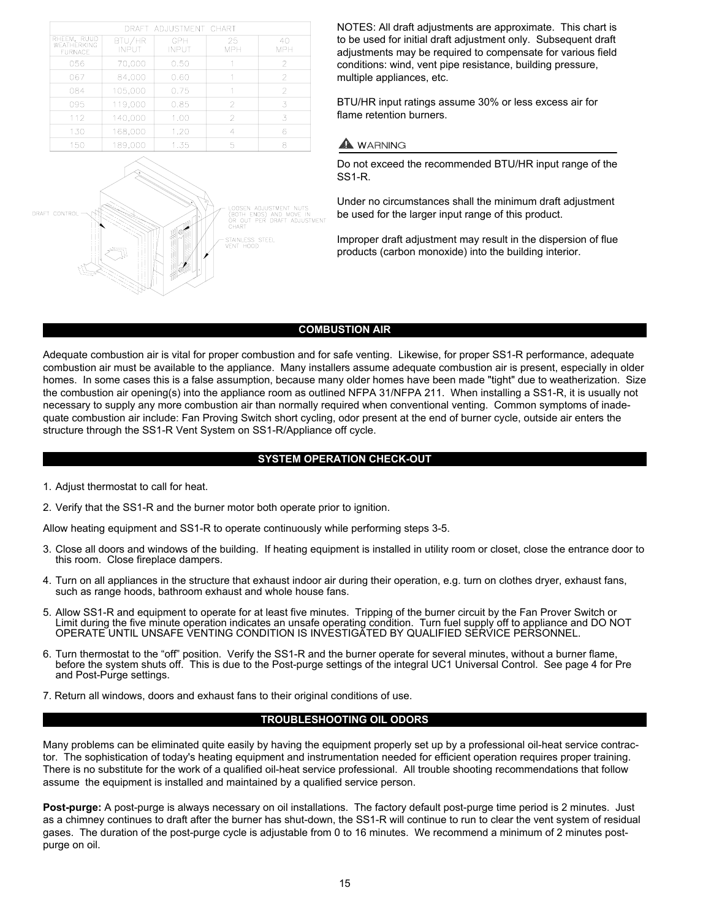|                                              |                        | DRAFT ADJUSTMENT CHART |                  |                  |
|----------------------------------------------|------------------------|------------------------|------------------|------------------|
| RHEEM, RUUD<br>WEATHERKING<br><b>FURNACF</b> | BTU/HR<br><b>INPUT</b> | GPH<br><b>INPUT</b>    | 25<br><b>MPH</b> | 40<br><b>MPH</b> |
| 056                                          | 70.000                 | 0.50                   |                  | 2                |
| 067                                          | 84,000                 | 0.60                   |                  | 2                |
| 084                                          | 105,000                | 0.75                   |                  | $\overline{2}$   |
| 095                                          | 119,000                | 0.85                   | 2                | 3                |
| 112                                          | 140,000                | 1.00                   | 2                | 3                |
| 130                                          | 168,000                | 1.20                   | 4                | 6                |
| 150                                          | 189.000                | 1.35                   | 5                | 8                |



NOTES: All draft adjustments are approximate. This chart is to be used for initial draft adjustment only. Subsequent draft adjustments may be required to compensate for various field conditions: wind, vent pipe resistance, building pressure, multiple appliances, etc.

BTU/HR input ratings assume 30% or less excess air for flame retention burners.

# $\blacktriangle$  WARNING

Do not exceed the recommended BTU/HR input range of the SS1-R.

Under no circumstances shall the minimum draft adjustment be used for the larger input range of this product.

Improper draft adjustment may result in the dispersion of flue products (carbon monoxide) into the building interior.

# **COMBUSTION AIR**

Adequate combustion air is vital for proper combustion and for safe venting. Likewise, for proper SS1-R performance, adequate combustion air must be available to the appliance. Many installers assume adequate combustion air is present, especially in older homes. In some cases this is a false assumption, because many older homes have been made "tight" due to weatherization. Size the combustion air opening(s) into the appliance room as outlined NFPA 31/NFPA 211. When installing a SS1-R, it is usually not necessary to supply any more combustion air than normally required when conventional venting. Common symptoms of inadequate combustion air include: Fan Proving Switch short cycling, odor present at the end of burner cycle, outside air enters the structure through the SS1-R Vent System on SS1-R/Appliance off cycle.

# **SYSTEM OPERATION CHECK-OUT**

- 1. Adjust thermostat to call for heat.
- 2. Verify that the SS1-R and the burner motor both operate prior to ignition.

Allow heating equipment and SS1-R to operate continuously while performing steps 3-5.

- 3. Close all doors and windows of the building. If heating equipment is installed in utility room or closet, close the entrance door to this room. Close fireplace dampers.
- 4. Turn on all appliances in the structure that exhaust indoor air during their operation, e.g. turn on clothes dryer, exhaust fans, such as range hoods, bathroom exhaust and whole house fans.
- 5. Allow SS1-R and equipment to operate for at least five minutes. Tripping of the burner circuit by the Fan Prover Switch or Limit during the five minute operation indicates an unsafe operating condition. Turn fuel supply off to appliance and DO NOT OPERATE UNTIL UNSAFE VENTING CONDITION IS INVESTIGATED BY QUALIFIED SERVICE PERSONNEL.
- 6. Turn thermostat to the "off" position. Verify the SS1-R and the burner operate for several minutes, without a burner flame, before the system shuts off. This is due to the Post-purge settings of the integral UC1 Universal Control. See page 4 for Pre and Post-Purge settings.
- 7. Return all windows, doors and exhaust fans to their original conditions of use.

# **TROUBLESHOOTING OIL ODORS**

Many problems can be eliminated quite easily by having the equipment properly set up by a professional oil-heat service contractor. The sophistication of today's heating equipment and instrumentation needed for efficient operation requires proper training. There is no substitute for the work of a qualified oil-heat service professional. All trouble shooting recommendations that follow assume the equipment is installed and maintained by a qualified service person.

**Post-purge:** A post-purge is always necessary on oil installations. The factory default post-purge time period is 2 minutes. Just as a chimney continues to draft after the burner has shut-down, the SS1-R will continue to run to clear the vent system of residual gases. The duration of the post-purge cycle is adjustable from 0 to 16 minutes. We recommend a minimum of 2 minutes postpurge on oil.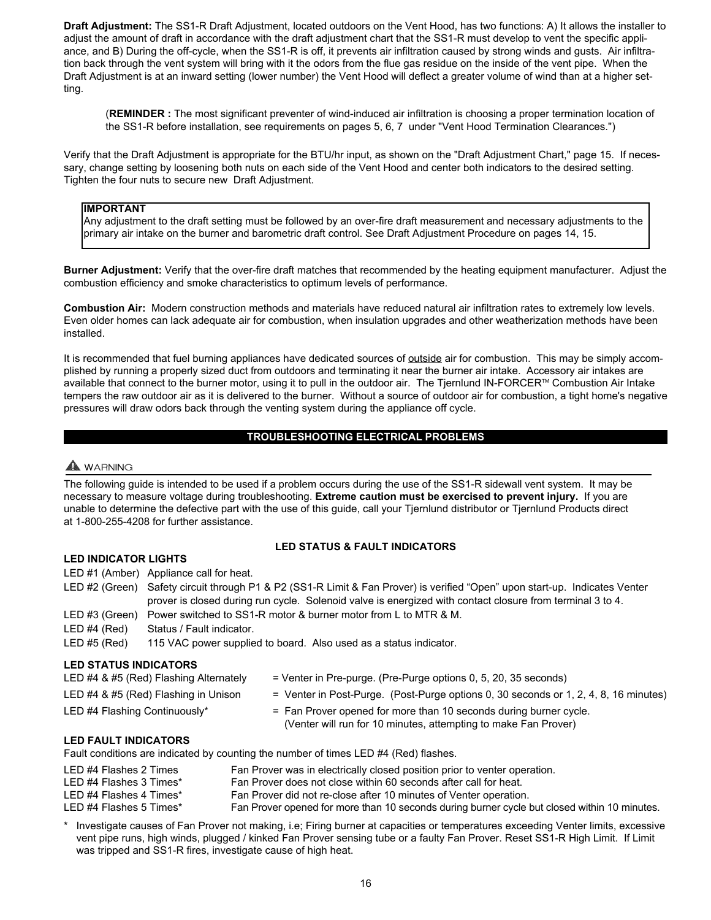**Draft Adjustment:** The SS1-R Draft Adjustment, located outdoors on the Vent Hood, has two functions: A) It allows the installer to adjust the amount of draft in accordance with the draft adjustment chart that the SS1-R must develop to vent the specific appliance, and B) During the off-cycle, when the SS1-R is off, it prevents air infiltration caused by strong winds and gusts. Air infiltration back through the vent system will bring with it the odors from the flue gas residue on the inside of the vent pipe. When the Draft Adjustment is at an inward setting (lower number) the Vent Hood will deflect a greater volume of wind than at a higher setting.

(**REMINDER :** The most significant preventer of wind-induced air infiltration is choosing a proper termination location of the SS1-R before installation, see requirements on pages 5, 6, 7 under "Vent Hood Termination Clearances.")

Verify that the Draft Adjustment is appropriate for the BTU/hr input, as shown on the "Draft Adjustment Chart," page 15. If necessary, change setting by loosening both nuts on each side of the Vent Hood and center both indicators to the desired setting. Tighten the four nuts to secure new Draft Adjustment.

# **IMPORTANT**

Any adjustment to the draft setting must be followed by an over-fire draft measurement and necessary adjustments to the primary air intake on the burner and barometric draft control. See Draft Adjustment Procedure on pages 14, 15.

**Burner Adjustment:** Verify that the over-fire draft matches that recommended by the heating equipment manufacturer. Adjust the combustion efficiency and smoke characteristics to optimum levels of performance.

**Combustion Air:** Modern construction methods and materials have reduced natural air infiltration rates to extremely low levels. Even older homes can lack adequate air for combustion, when insulation upgrades and other weatherization methods have been installed.

It is recommended that fuel burning appliances have dedicated sources of outside air for combustion. This may be simply accomplished by running a properly sized duct from outdoors and terminating it near the burner air intake. Accessory air intakes are available that connect to the burner motor, using it to pull in the outdoor air. The Tjernlund IN-FORCER™ Combustion Air Intake tempers the raw outdoor air as it is delivered to the burner. Without a source of outdoor air for combustion, a tight home's negative pressures will draw odors back through the venting system during the appliance off cycle.

# **TROUBLESHOOTING ELECTRICAL PROBLEMS**

# A WARNING

The following guide is intended to be used if a problem occurs during the use of the SS1-R sidewall vent system. It may be necessary to measure voltage during troubleshooting. **Extreme caution must be exercised to prevent injury.** If you are unable to determine the defective part with the use of this guide, call your Tjernlund distributor or Tjernlund Products direct at 1-800-255-4208 for further assistance.

# **LED STATUS & FAULT INDICATORS**

- **LED INDICATOR LIGHTS**
- LED #1 (Amber) Appliance call for heat. LED #2 (Green) Safety circuit through P1 & P2 (SS1-R Limit & Fan Prover) is verified "Open" upon start-up. Indicates Venter prover is closed during run cycle. Solenoid valve is energized with contact closure from terminal 3 to 4.
- LED #3 (Green) Power switched to SS1-R motor & burner motor from L to MTR & M.
- LED #4 (Red) Status / Fault indicator.

# LED #5 (Red) 115 VAC power supplied to board. Also used as a status indicator.

# **LED STATUS INDICATORS**

| LED #4 & #5 (Red) Flashing Alternately | = Venter in Pre-purge. (Pre-Purge options 0, 5, 20, 35 seconds)                      |
|----------------------------------------|--------------------------------------------------------------------------------------|
| LED #4 & #5 (Red) Flashing in Unison   | = Venter in Post-Purge. (Post-Purge options 0, 30 seconds or 1, 2, 4, 8, 16 minutes) |
| $\Gamma$ ED 44 Figure  Opening         |                                                                                      |

LED #4 Flashing Continuously\* = Fan Prover opened for more than 10 seconds during burner cycle. (Venter will run for 10 minutes, attempting to make Fan Prover)

# **LED FAULT INDICATORS**

Fault conditions are indicated by counting the number of times LED #4 (Red) flashes.

| LED #4 Flashes 2 Times<br>LED #4 Flashes 3 Times* | Fan Prover was in electrically closed position prior to venter operation.<br>Fan Prover does not close within 60 seconds after call for heat. |
|---------------------------------------------------|-----------------------------------------------------------------------------------------------------------------------------------------------|
| LED #4 Flashes 4 Times*                           | Fan Prover did not re-close after 10 minutes of Venter operation.                                                                             |
| LED #4 Flashes 5 Times*                           | Fan Prover opened for more than 10 seconds during burner cycle but closed within 10 minutes.                                                  |

Investigate causes of Fan Prover not making, i.e; Firing burner at capacities or temperatures exceeding Venter limits, excessive vent pipe runs, high winds, plugged / kinked Fan Prover sensing tube or a faulty Fan Prover. Reset SS1-R High Limit. If Limit was tripped and SS1-R fires, investigate cause of high heat.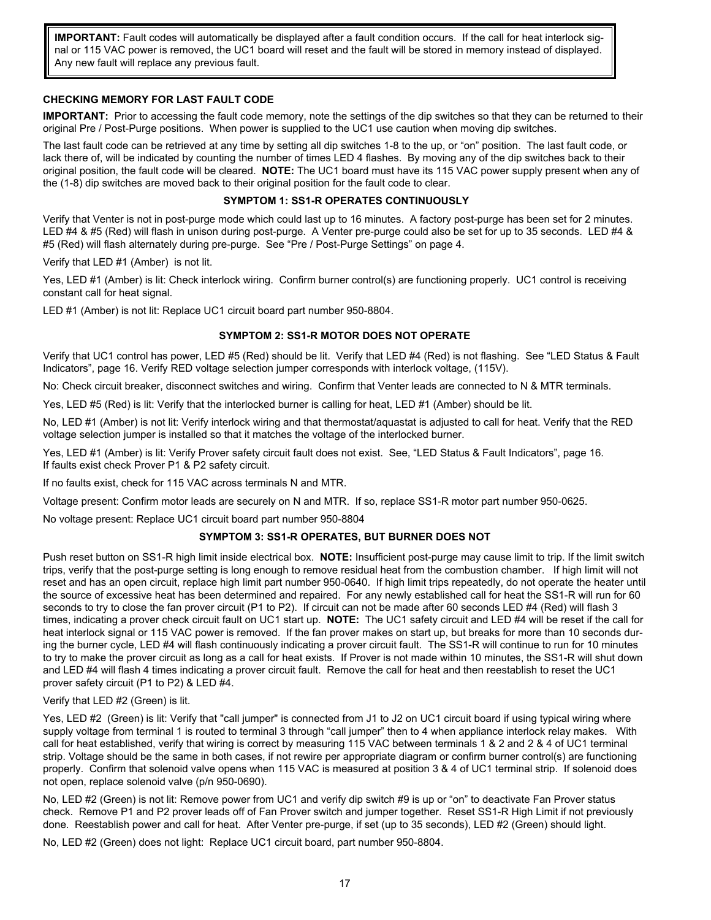**IMPORTANT:** Fault codes will automatically be displayed after a fault condition occurs. If the call for heat interlock signal or 115 VAC power is removed, the UC1 board will reset and the fault will be stored in memory instead of displayed. Any new fault will replace any previous fault.

# **CHECKING MEMORY FOR LAST FAULT CODE**

**IMPORTANT:** Prior to accessing the fault code memory, note the settings of the dip switches so that they can be returned to their original Pre / Post-Purge positions. When power is supplied to the UC1 use caution when moving dip switches.

The last fault code can be retrieved at any time by setting all dip switches 1-8 to the up, or "on" position. The last fault code, or lack there of, will be indicated by counting the number of times LED 4 flashes. By moving any of the dip switches back to their original position, the fault code will be cleared. **NOTE:** The UC1 board must have its 115 VAC power supply present when any of the (1-8) dip switches are moved back to their original position for the fault code to clear.

# **SYMPTOM 1: SS1-R OPERATES CONTINUOUSLY**

Verify that Venter is not in post-purge mode which could last up to 16 minutes. A factory post-purge has been set for 2 minutes. LED #4 & #5 (Red) will flash in unison during post-purge. A Venter pre-purge could also be set for up to 35 seconds. LED #4 & #5 (Red) will flash alternately during pre-purge. See "Pre / Post-Purge Settings" on page 4.

Verify that LED #1 (Amber) is not lit.

Yes, LED #1 (Amber) is lit: Check interlock wiring. Confirm burner control(s) are functioning properly. UC1 control is receiving constant call for heat signal.

LED #1 (Amber) is not lit: Replace UC1 circuit board part number 950-8804.

# **SYMPTOM 2: SS1-R MOTOR DOES NOT OPERATE**

Verify that UC1 control has power, LED #5 (Red) should be lit. Verify that LED #4 (Red) is not flashing. See "LED Status & Fault Indicators", page 16. Verify RED voltage selection jumper corresponds with interlock voltage, (115V).

No: Check circuit breaker, disconnect switches and wiring. Confirm that Venter leads are connected to N & MTR terminals.

Yes, LED #5 (Red) is lit: Verify that the interlocked burner is calling for heat, LED #1 (Amber) should be lit.

No, LED #1 (Amber) is not lit: Verify interlock wiring and that thermostat/aquastat is adjusted to call for heat. Verify that the RED voltage selection jumper is installed so that it matches the voltage of the interlocked burner.

Yes, LED #1 (Amber) is lit: Verify Prover safety circuit fault does not exist. See, "LED Status & Fault Indicators", page 16. If faults exist check Prover P1 & P2 safety circuit.

If no faults exist, check for 115 VAC across terminals N and MTR.

Voltage present: Confirm motor leads are securely on N and MTR. If so, replace SS1-R motor part number 950-0625.

No voltage present: Replace UC1 circuit board part number 950-8804

# **SYMPTOM 3: SS1-R OPERATES, BUT BURNER DOES NOT**

Push reset button on SS1-R high limit inside electrical box. **NOTE:** Insufficient post-purge may cause limit to trip. If the limit switch trips, verify that the post-purge setting is long enough to remove residual heat from the combustion chamber. If high limit will not reset and has an open circuit, replace high limit part number 950-0640. If high limit trips repeatedly, do not operate the heater until the source of excessive heat has been determined and repaired. For any newly established call for heat the SS1-R will run for 60 seconds to try to close the fan prover circuit (P1 to P2). If circuit can not be made after 60 seconds LED #4 (Red) will flash 3 times, indicating a prover check circuit fault on UC1 start up. **NOTE:** The UC1 safety circuit and LED #4 will be reset if the call for heat interlock signal or 115 VAC power is removed. If the fan prover makes on start up, but breaks for more than 10 seconds during the burner cycle, LED #4 will flash continuously indicating a prover circuit fault. The SS1-R will continue to run for 10 minutes to try to make the prover circuit as long as a call for heat exists. If Prover is not made within 10 minutes, the SS1-R will shut down and LED #4 will flash 4 times indicating a prover circuit fault. Remove the call for heat and then reestablish to reset the UC1 prover safety circuit (P1 to P2) & LED #4.

# Verify that LED #2 (Green) is lit.

Yes, LED #2 (Green) is lit: Verify that "call jumper" is connected from J1 to J2 on UC1 circuit board if using typical wiring where supply voltage from terminal 1 is routed to terminal 3 through "call jumper" then to 4 when appliance interlock relay makes. With call for heat established, verify that wiring is correct by measuring 115 VAC between terminals 1 & 2 and 2 & 4 of UC1 terminal strip. Voltage should be the same in both cases, if not rewire per appropriate diagram or confirm burner control(s) are functioning properly. Confirm that solenoid valve opens when 115 VAC is measured at position 3 & 4 of UC1 terminal strip. If solenoid does not open, replace solenoid valve (p/n 950-0690).

No, LED #2 (Green) is not lit: Remove power from UC1 and verify dip switch #9 is up or "on" to deactivate Fan Prover status check. Remove P1 and P2 prover leads off of Fan Prover switch and jumper together. Reset SS1-R High Limit if not previously done. Reestablish power and call for heat. After Venter pre-purge, if set (up to 35 seconds), LED #2 (Green) should light.

No, LED #2 (Green) does not light: Replace UC1 circuit board, part number 950-8804.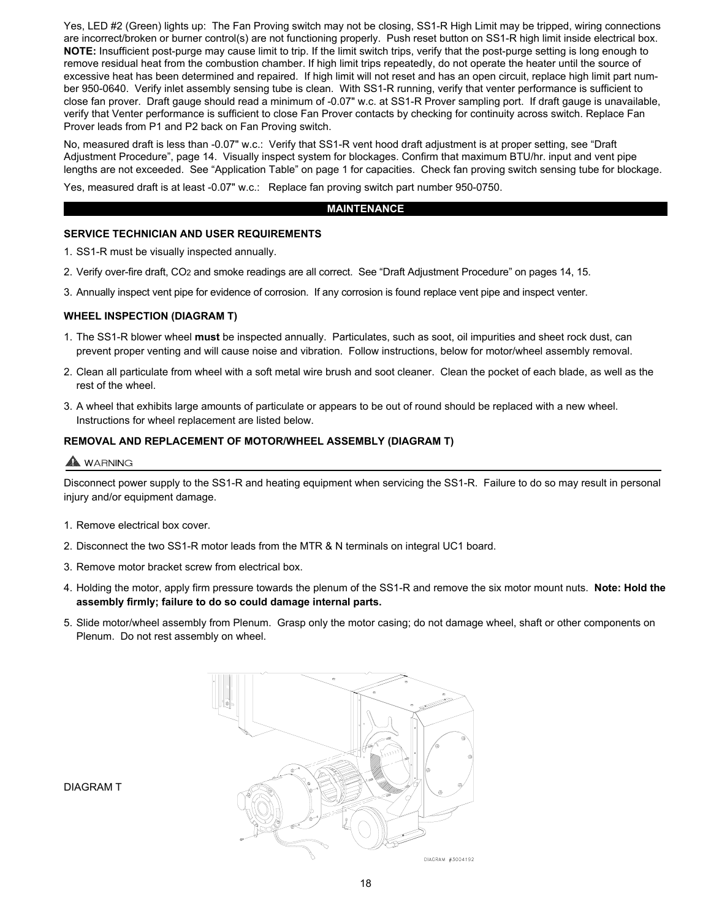Yes, LED #2 (Green) lights up: The Fan Proving switch may not be closing, SS1-R High Limit may be tripped, wiring connections are incorrect/broken or burner control(s) are not functioning properly. Push reset button on SS1-R high limit inside electrical box. **NOTE:** Insufficient post-purge may cause limit to trip. If the limit switch trips, verify that the post-purge setting is long enough to remove residual heat from the combustion chamber. If high limit trips repeatedly, do not operate the heater until the source of excessive heat has been determined and repaired. If high limit will not reset and has an open circuit, replace high limit part number 950-0640. Verify inlet assembly sensing tube is clean. With SS1-R running, verify that venter performance is sufficient to close fan prover. Draft gauge should read a minimum of -0.07" w.c. at SS1-R Prover sampling port. If draft gauge is unavailable, verify that Venter performance is sufficient to close Fan Prover contacts by checking for continuity across switch. Replace Fan Prover leads from P1 and P2 back on Fan Proving switch.

No, measured draft is less than -0.07" w.c.: Verify that SS1-R vent hood draft adjustment is at proper setting, see "Draft Adjustment Procedure", page 14. Visually inspect system for blockages. Confirm that maximum BTU/hr. input and vent pipe lengths are not exceeded. See "Application Table" on page 1 for capacities. Check fan proving switch sensing tube for blockage.

Yes, measured draft is at least -0.07" w.c.: Replace fan proving switch part number 950-0750.

#### **MAINTENANCE**

# **SERVICE TECHNICIAN AND USER REQUIREMENTS**

1. SS1-R must be visually inspected annually.

- 2. Verify over-fire draft, CO2 and smoke readings are all correct. See "Draft Adjustment Procedure" on pages 14, 15.
- 3. Annually inspect vent pipe for evidence of corrosion. If any corrosion is found replace vent pipe and inspect venter.

# **WHEEL INSPECTION (DIAGRAM T)**

- 1. The SS1-R blower wheel **must** be inspected annually. Particulates, such as soot, oil impurities and sheet rock dust, can prevent proper venting and will cause noise and vibration. Follow instructions, below for motor/wheel assembly removal.
- 2. Clean all particulate from wheel with a soft metal wire brush and soot cleaner. Clean the pocket of each blade, as well as the rest of the wheel.
- 3. A wheel that exhibits large amounts of particulate or appears to be out of round should be replaced with a new wheel. Instructions for wheel replacement are listed below.

# **REMOVAL AND REPLACEMENT OF MOTOR/WHEEL ASSEMBLY (DIAGRAM T)**

# A WARNING

Disconnect power supply to the SS1-R and heating equipment when servicing the SS1-R. Failure to do so may result in personal injury and/or equipment damage.

- 1. Remove electrical box cover.
- 2. Disconnect the two SS1-R motor leads from the MTR & N terminals on integral UC1 board.
- 3. Remove motor bracket screw from electrical box.
- 4. Holding the motor, apply firm pressure towards the plenum of the SS1-R and remove the six motor mount nuts. **Note: Hold the assembly firmly; failure to do so could damage internal parts.**
- 5. Slide motor/wheel assembly from Plenum. Grasp only the motor casing; do not damage wheel, shaft or other components on Plenum. Do not rest assembly on wheel.



DIAGRAM T